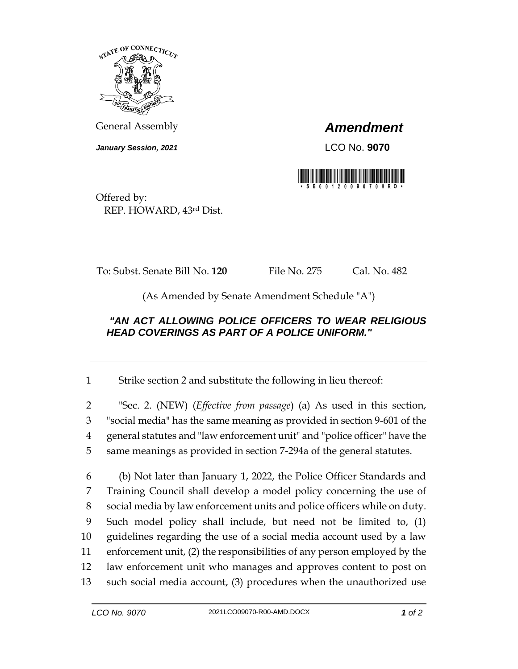

General Assembly *Amendment*

*January Session, 2021* LCO No. **9070**



Offered by: REP. HOWARD, 43rd Dist.

To: Subst. Senate Bill No. **120** File No. 275 Cal. No. 482

(As Amended by Senate Amendment Schedule "A")

## *"AN ACT ALLOWING POLICE OFFICERS TO WEAR RELIGIOUS HEAD COVERINGS AS PART OF A POLICE UNIFORM."*

1 Strike section 2 and substitute the following in lieu thereof:

 "Sec. 2. (NEW) (*Effective from passage*) (a) As used in this section, "social media" has the same meaning as provided in section 9-601 of the general statutes and "law enforcement unit" and "police officer" have the same meanings as provided in section 7-294a of the general statutes.

 (b) Not later than January 1, 2022, the Police Officer Standards and Training Council shall develop a model policy concerning the use of social media by law enforcement units and police officers while on duty. Such model policy shall include, but need not be limited to, (1) guidelines regarding the use of a social media account used by a law enforcement unit, (2) the responsibilities of any person employed by the law enforcement unit who manages and approves content to post on such social media account, (3) procedures when the unauthorized use